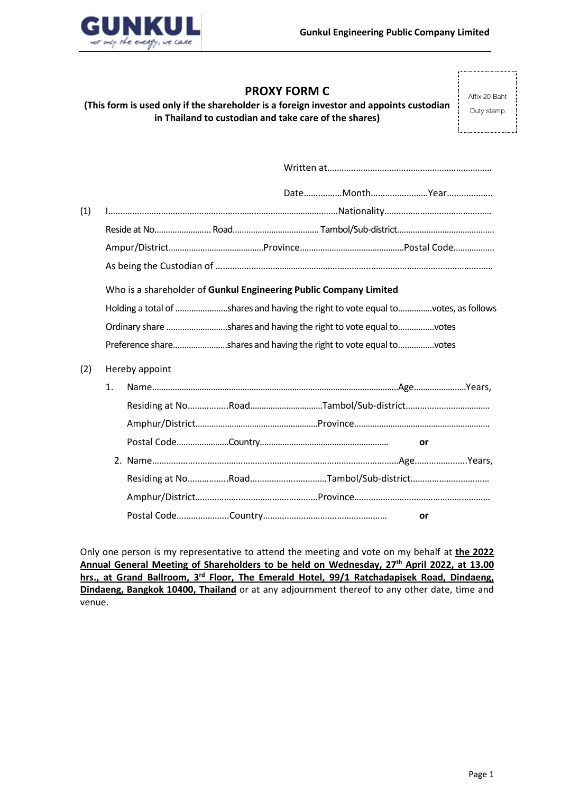

# **PROXY FORM C**

**(This form is used only if the shareholder is a foreign investor and appoints custodian in Thailand to custodian and take care of the shares)**

Affix 20 Baht Duty stamp

| (1) |                                                                   |                                                                                  |  |
|-----|-------------------------------------------------------------------|----------------------------------------------------------------------------------|--|
|     |                                                                   |                                                                                  |  |
|     |                                                                   |                                                                                  |  |
|     |                                                                   |                                                                                  |  |
|     | Who is a shareholder of Gunkul Engineering Public Company Limited |                                                                                  |  |
|     |                                                                   | Holding a total of shares and having the right to vote equal tovotes, as follows |  |
|     |                                                                   | Ordinary share shares and having the right to vote equal tovotes                 |  |
|     |                                                                   | Preference shareshares and having the right to vote equal tovotes                |  |
| (2) | Hereby appoint                                                    |                                                                                  |  |
|     | 1.                                                                |                                                                                  |  |
|     |                                                                   |                                                                                  |  |
|     |                                                                   |                                                                                  |  |
|     |                                                                   | or                                                                               |  |
|     |                                                                   |                                                                                  |  |
|     |                                                                   |                                                                                  |  |
|     |                                                                   |                                                                                  |  |
|     |                                                                   | or                                                                               |  |

Only one person is my representative to attend the meeting and vote on my behalf at **the 2022 Annual General Meeting of Shareholders to be held on Wednesday, 27th April 2022, at 13.00** hrs., at Grand Ballroom, 3<sup>rd</sup> Floor, The Emerald Hotel, 99/1 Ratchadapisek Road, Dindaeng, **Dindaeng, Bangkok 10400, Thailand** or at any adjournment thereof to any other date, time and venue.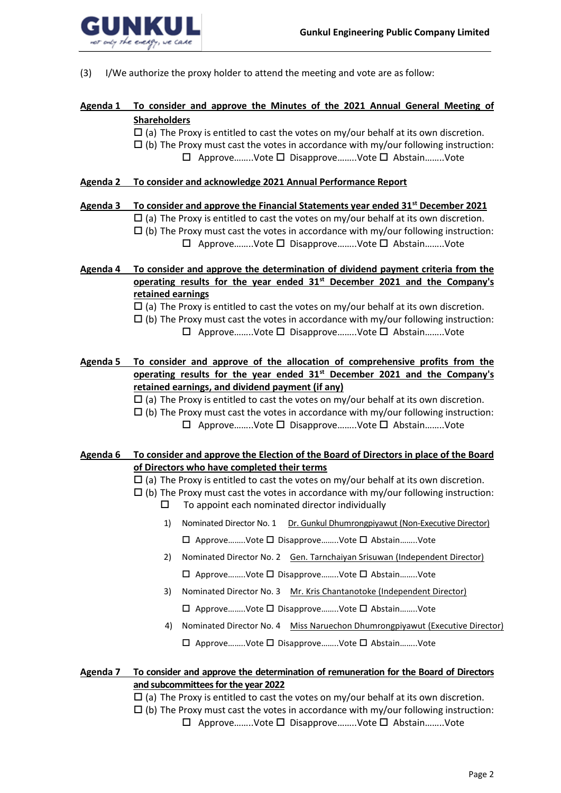

(3) I/We authorize the proxy holder to attend the meeting and vote are as follow:

# **Agenda 1 To consider and approve the Minutes of the 2021 Annual General Meeting of Shareholders**

 $\Box$  (a) The Proxy is entitled to cast the votes on my/our behalf at its own discretion.

- $\Box$  (b) The Proxy must cast the votes in accordance with my/our following instruction:
	- $\Box$  Approve........Vote  $\Box$  Disapprove........Vote  $\Box$  Abstain........Vote

### **Agenda 2 To consider and acknowledge 2021 Annual Performance Report**

### **Agenda 3 To consider and approve the Financial Statements year ended 31st December 2021**

- $\Box$  (a) The Proxy is entitled to cast the votes on my/our behalf at its own discretion.
- $\Box$  (b) The Proxy must cast the votes in accordance with my/our following instruction: Approve……..Vote Disapprove……..Vote Abstain……..Vote
- **Agenda 4 To consider and approve the determination of dividend payment criteria from the operating results for the year ended 31st December 2021 and the Company's retained earnings**

 $\Box$  (a) The Proxy is entitled to cast the votes on my/our behalf at its own discretion.

- $\Box$  (b) The Proxy must cast the votes in accordance with my/our following instruction:
	- $\Box$  Approve........Vote  $\Box$  Disapprove........Vote  $\Box$  Abstain........Vote
- **Agenda 5 To consider and approve of the allocation of comprehensive profits from the operating results for the year ended 31st December 2021 and the Company's retained earnings, and dividend payment (if any)**
	- $\Box$  (a) The Proxy is entitled to cast the votes on my/our behalf at its own discretion.
	- $\Box$  (b) The Proxy must cast the votes in accordance with my/our following instruction:
		- Approve……..Vote Disapprove……..Vote Abstain……..Vote

### **Agenda 6 To consider and approve the Election of the Board of Directors in place of the Board of Directors who have completed their terms**

- $\Box$  (a) The Proxy is entitled to cast the votes on my/our behalf at its own discretion.
- $\Box$  (b) The Proxy must cast the votes in accordance with my/our following instruction:  $\square$  To appoint each nominated director individually
	- 1) Nominated Director No. 1 Dr. Gunkul Dhumrongpiyawut (Non-Executive Director) Approve……..Vote Disapprove……..Vote Abstain……..Vote
	- 2) Nominated Director No. 2 Gen. Tarnchaiyan Srisuwan (Independent Director)
		- Approve……..Vote Disapprove……..Vote Abstain……..Vote
	- 3) Nominated Director No. 3 Mr. Kris Chantanotoke (Independent Director)

Approve……..Vote Disapprove……..Vote Abstain……..Vote

4) Nominated Director No. 4 Miss Naruechon Dhumrongpiyawut (Executive Director) Approve……..Vote Disapprove……..Vote Abstain……..Vote

# **Agenda 7 To consider and approve the determination of remuneration for the Board of Directors and subcommittees for the year 2022**

- $\Box$  (a) The Proxy is entitled to cast the votes on my/our behalf at its own discretion.
- $\Box$  (b) The Proxy must cast the votes in accordance with my/our following instruction:
	- Approve……..Vote Disapprove……..Vote Abstain……..Vote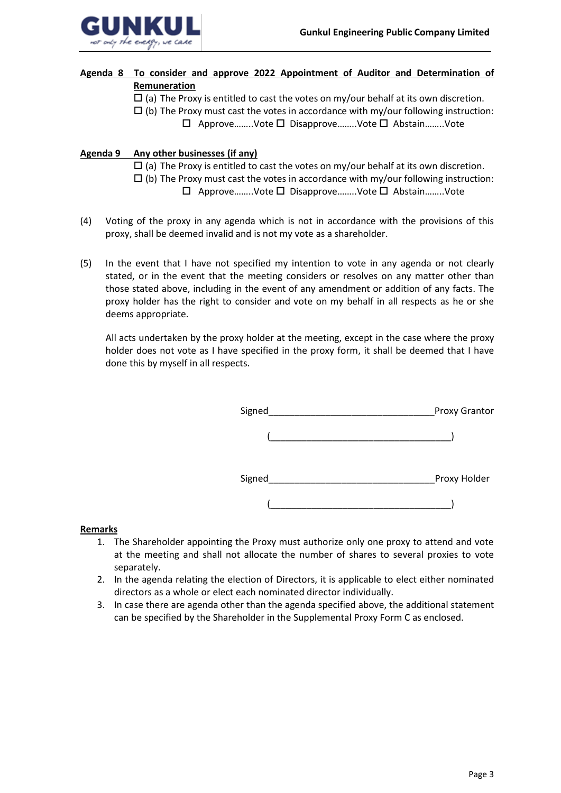

# **Agenda 8 To consider and approve 2022 Appointment of Auditor and Determination of Remuneration**

- $\Box$  (a) The Proxy is entitled to cast the votes on my/our behalf at its own discretion.
- $\Box$  (b) The Proxy must cast the votes in accordance with my/our following instruction:
	- Approve……..Vote Disapprove……..Vote Abstain……..Vote

# **Agenda 9 Any other businesses (if any)**

- $\Box$  (a) The Proxy is entitled to cast the votes on my/our behalf at its own discretion.
- $\Box$  (b) The Proxy must cast the votes in accordance with my/our following instruction:
	- $\Box$  Approve........Vote  $\Box$  Disapprove........Vote  $\Box$  Abstain........Vote
- (4) Voting of the proxy in any agenda which is not in accordance with the provisions of this proxy, shall be deemed invalid and is not my vote as a shareholder.
- (5) In the event that I have not specified my intention to vote in any agenda or not clearly stated, or in the event that the meeting considers or resolves on any matter other than those stated above, including in the event of any amendment or addition of any facts. The proxy holder has the right to consider and vote on my behalf in all respects as he or she deems appropriate.

All acts undertaken by the proxy holder at the meeting, except in the case where the proxy holder does not vote as I have specified in the proxy form, it shall be deemed that I have done this by myself in all respects.

| Signed | Proxy Grantor |
|--------|---------------|
|        |               |
| Signed | Proxy Holder  |
|        |               |

### **Remarks**

- 1. The Shareholder appointing the Proxy must authorize only one proxy to attend and vote at the meeting and shall not allocate the number of shares to several proxies to vote separately.
- 2. In the agenda relating the election of Directors, it is applicable to elect either nominated directors as a whole or elect each nominated director individually.
- 3. In case there are agenda other than the agenda specified above, the additional statement can be specified by the Shareholder in the Supplemental Proxy Form C as enclosed.